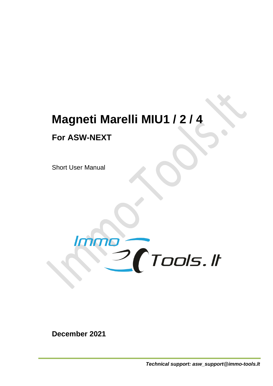## **Magneti Marelli MIU1 / 2 / 4**

## **For ASW-NEXT**

Short User Manual



**December 2021**

*Technical support: asw\_support@immo-tools.lt*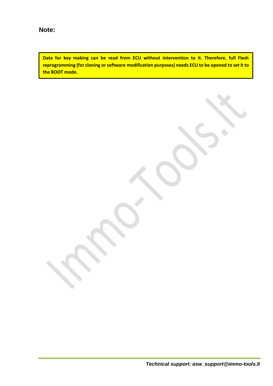**Data for key making can be read from ECU without intervention to it. Therefore, full Flash reprogramming (for cloning or software modification purposes) needs ECU to be opened to set it to the BOOT mode.**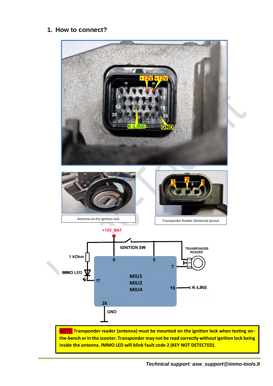## **1. How to connect?**



**NOTE: Transponder reader (antenna) must be mounted on the ignition lock when testing onthe-bench or in the scooter. Transponder may not be read correctly without ignition lock being inside the antenna. IMMO LED will blink fault code 2 (KEY NOT DETECTED).**